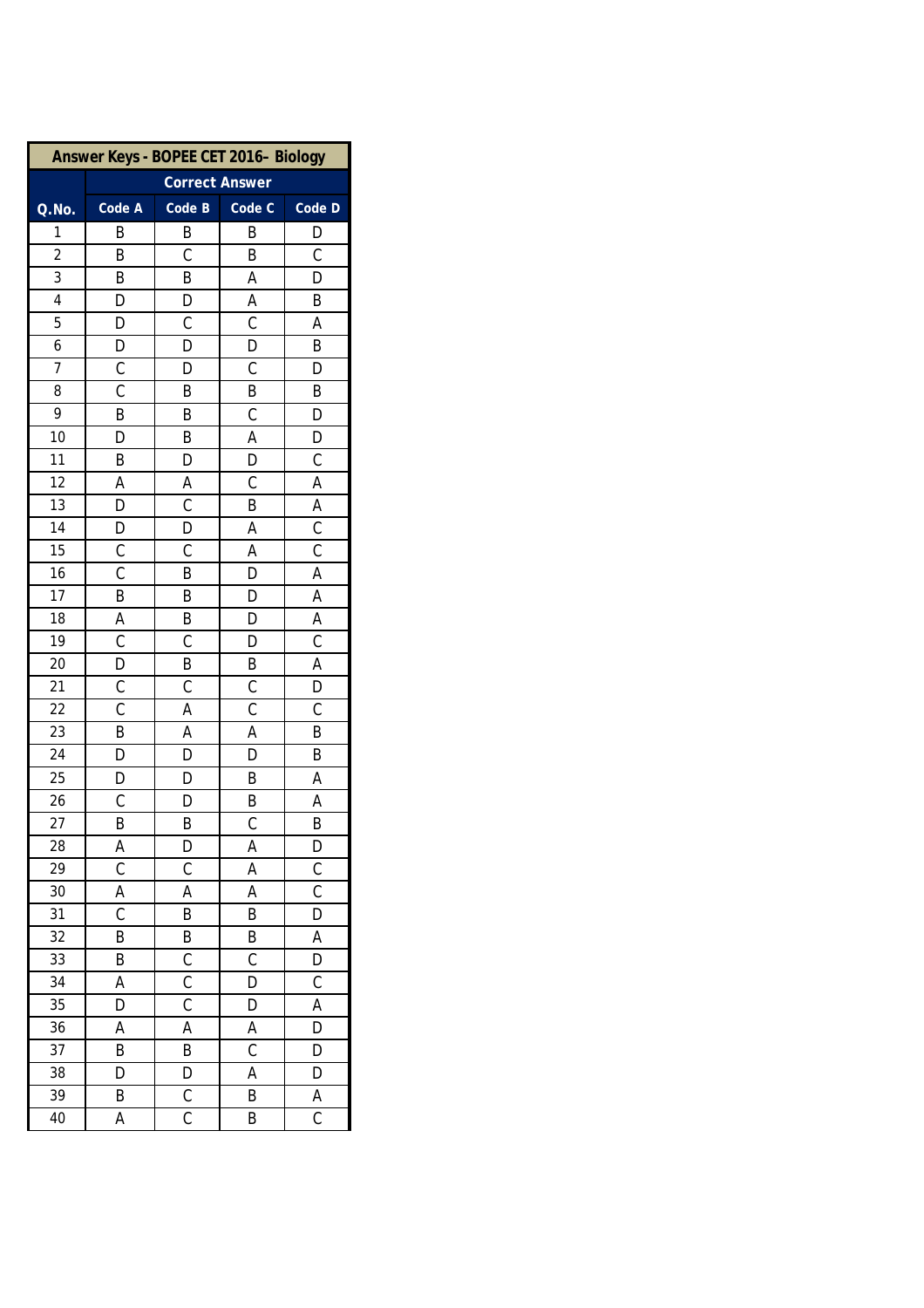| Answer Keys - BOPEE CET 2016- Biology |                |                         |                |                |  |  |
|---------------------------------------|----------------|-------------------------|----------------|----------------|--|--|
|                                       |                | <b>Correct Answer</b>   |                |                |  |  |
| Q.No.                                 | Code A         | Code B                  | Code C         | Code D         |  |  |
| 1                                     | B              | B                       | B              | D              |  |  |
| $\overline{c}$                        | B              | $\mathsf C$             | B              | $\overline{C}$ |  |  |
| 3                                     | B              | B                       | Α              | D              |  |  |
| 4                                     | D              | D                       | Α              | B              |  |  |
| 5                                     | D              | $\mathsf C$             | $\mathsf C$    | А              |  |  |
| 6                                     | D              | D                       | D              | B              |  |  |
| 7                                     | $\mathsf{C}$   | D                       | C              | D              |  |  |
| 8                                     | $\overline{C}$ | B                       | B              | B              |  |  |
| 9                                     | B              | B                       | C              | D              |  |  |
| 10                                    | D              | B                       | Α              | D              |  |  |
| 11                                    | B              | D                       | D              | $\mathsf C$    |  |  |
| 12                                    | Α              | A                       | C              | A              |  |  |
| $\overline{13}$                       | D              | $\overline{C}$          | B              | A              |  |  |
| 14                                    | D              | D                       | Α              | $\mathsf C$    |  |  |
| 15                                    | $\overline{C}$ | $\mathsf C$             | Α              | $\overline{C}$ |  |  |
| 16                                    | $\mathsf C$    | B                       | D              | A              |  |  |
| 17                                    | $\overline{B}$ | B                       | D              | A              |  |  |
| $\overline{18}$                       | A              | B                       | D              | A              |  |  |
| 19                                    | $\mathsf{C}$   | $\mathcal{C}$           | D              | $\mathsf C$    |  |  |
| 20                                    | D              | B                       | Β              | A              |  |  |
| 21                                    | $\mathsf{C}$   | $\mathsf C$             | $\mathsf C$    | D              |  |  |
| $\overline{22}$                       | $\overline{C}$ | A                       | $\overline{C}$ | $\overline{C}$ |  |  |
| 23                                    | B              | A                       | Α              | B              |  |  |
| 24                                    | D              | D                       | D              | B              |  |  |
| 25                                    | D              | D                       | Β              | A              |  |  |
| 26                                    | $\mathsf{C}$   | D                       | B              | A              |  |  |
| 27                                    | B              | В                       | $\overline{C}$ | B              |  |  |
| 28                                    | A              | D                       | Α              | D              |  |  |
| 29                                    | $\overline{C}$ | $\mathsf C$             | A              | $\overline{C}$ |  |  |
| 30                                    | A              | A                       | Α              | $\overline{C}$ |  |  |
| 31                                    | $\overline{C}$ | B                       | B              | $\overline{D}$ |  |  |
| 32                                    | B              | B                       | Β              | А              |  |  |
| 33                                    | B              | C                       | C              | D              |  |  |
| 34                                    | A              | $\overline{\mathsf{C}}$ | D              | $\overline{C}$ |  |  |
| 35                                    | D              | $\overline{\mathsf{C}}$ | D              | A              |  |  |
| 36                                    | Α              | Α                       | Α              | D              |  |  |
| 37                                    | B              | B                       | C              | D              |  |  |
| 38                                    | D              | D                       | Α              | D              |  |  |
| 39                                    | B              | $\mathsf{C}$            | B              | A              |  |  |
| 40                                    | A              | $\overline{C}$          | B              | $\mathsf C$    |  |  |